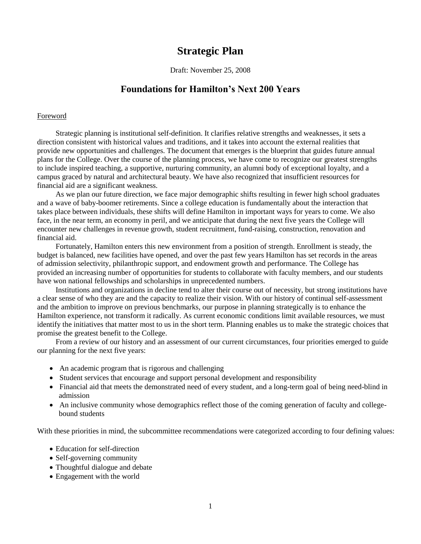# **Strategic Plan**

Draft: November 25, 2008

# **Foundations for Hamilton's Next 200 Years**

#### Foreword

Strategic planning is institutional self-definition. It clarifies relative strengths and weaknesses, it sets a direction consistent with historical values and traditions, and it takes into account the external realities that provide new opportunities and challenges. The document that emerges is the blueprint that guides future annual plans for the College. Over the course of the planning process, we have come to recognize our greatest strengths to include inspired teaching, a supportive, nurturing community, an alumni body of exceptional loyalty, and a campus graced by natural and architectural beauty. We have also recognized that insufficient resources for financial aid are a significant weakness.

As we plan our future direction, we face major demographic shifts resulting in fewer high school graduates and a wave of baby-boomer retirements. Since a college education is fundamentally about the interaction that takes place between individuals, these shifts will define Hamilton in important ways for years to come. We also face, in the near term, an economy in peril, and we anticipate that during the next five years the College will encounter new challenges in revenue growth, student recruitment, fund-raising, construction, renovation and financial aid.

Fortunately, Hamilton enters this new environment from a position of strength. Enrollment is steady, the budget is balanced, new facilities have opened, and over the past few years Hamilton has set records in the areas of admission selectivity, philanthropic support, and endowment growth and performance. The College has provided an increasing number of opportunities for students to collaborate with faculty members, and our students have won national fellowships and scholarships in unprecedented numbers.

Institutions and organizations in decline tend to alter their course out of necessity, but strong institutions have a clear sense of who they are and the capacity to realize their vision. With our history of continual self-assessment and the ambition to improve on previous benchmarks, our purpose in planning strategically is to enhance the Hamilton experience, not transform it radically. As current economic conditions limit available resources, we must identify the initiatives that matter most to us in the short term. Planning enables us to make the strategic choices that promise the greatest benefit to the College.

From a review of our history and an assessment of our current circumstances, four priorities emerged to guide our planning for the next five years:

- An academic program that is rigorous and challenging
- Student services that encourage and support personal development and responsibility
- Financial aid that meets the demonstrated need of every student, and a long-term goal of being need-blind in admission
- An inclusive community whose demographics reflect those of the coming generation of faculty and collegebound students

With these priorities in mind, the subcommittee recommendations were categorized according to four defining values:

- Education for self-direction
- Self-governing community
- Thoughtful dialogue and debate
- Engagement with the world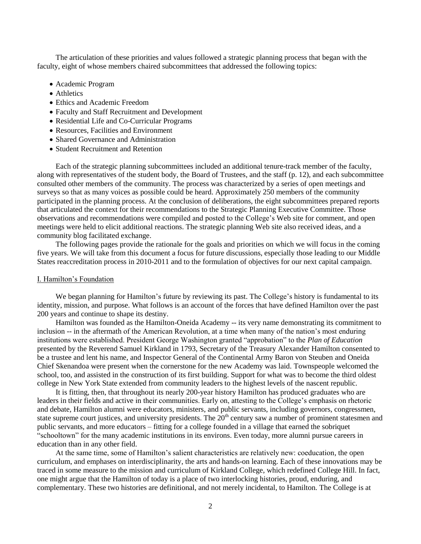The articulation of these priorities and values followed a strategic planning process that began with the faculty, eight of whose members chaired subcommittees that addressed the following topics:

- Academic Program
- Athletics
- Ethics and Academic Freedom
- Faculty and Staff Recruitment and Development
- Residential Life and Co-Curricular Programs
- Resources, Facilities and Environment
- Shared Governance and Administration
- Student Recruitment and Retention

Each of the strategic planning subcommittees included an additional tenure-track member of the faculty, along with representatives of the student body, the Board of Trustees, and the staff (p. 12), and each subcommittee consulted other members of the community. The process was characterized by a series of open meetings and surveys so that as many voices as possible could be heard. Approximately 250 members of the community participated in the planning process. At the conclusion of deliberations, the eight subcommittees prepared reports that articulated the context for their recommendations to the Strategic Planning Executive Committee. Those observations and recommendations were compiled and posted to the College's Web site for comment, and open meetings were held to elicit additional reactions. The strategic planning Web site also received ideas, and a community blog facilitated exchange.

The following pages provide the rationale for the goals and priorities on which we will focus in the coming five years. We will take from this document a focus for future discussions, especially those leading to our Middle States reaccreditation process in 2010-2011 and to the formulation of objectives for our next capital campaign.

#### I. Hamilton's Foundation

We began planning for Hamilton's future by reviewing its past. The College's history is fundamental to its identity, mission, and purpose. What follows is an account of the forces that have defined Hamilton over the past 200 years and continue to shape its destiny.

Hamilton was founded as the Hamilton-Oneida Academy -- its very name demonstrating its commitment to inclusion -- in the aftermath of the American Revolution, at a time when many of the nation's most enduring institutions were established. President George Washington granted "approbation" to the *Plan of Education* presented by the Reverend Samuel Kirkland in 1793, Secretary of the Treasury Alexander Hamilton consented to be a trustee and lent his name, and Inspector General of the Continental Army Baron von Steuben and Oneida Chief Skenandoa were present when the cornerstone for the new Academy was laid. Townspeople welcomed the school, too, and assisted in the construction of its first building. Support for what was to become the third oldest college in New York State extended from community leaders to the highest levels of the nascent republic.

It is fitting, then, that throughout its nearly 200-year history Hamilton has produced graduates who are leaders in their fields and active in their communities. Early on, attesting to the College's emphasis on rhetoric and debate, Hamilton alumni were educators, ministers, and public servants, including governors, congressmen, state supreme court justices, and university presidents. The  $20<sup>th</sup>$  century saw a number of prominent statesmen and public servants, and more educators – fitting for a college founded in a village that earned the sobriquet "schooltown" for the many academic institutions in its environs. Even today, more alumni pursue careers in education than in any other field.

At the same time, some of Hamilton's salient characteristics are relatively new: coeducation, the open curriculum, and emphases on interdisciplinarity, the arts and hands-on learning. Each of these innovations may be traced in some measure to the mission and curriculum of Kirkland College, which redefined College Hill. In fact, one might argue that the Hamilton of today is a place of two interlocking histories, proud, enduring, and complementary. These two histories are definitional, and not merely incidental, to Hamilton. The College is at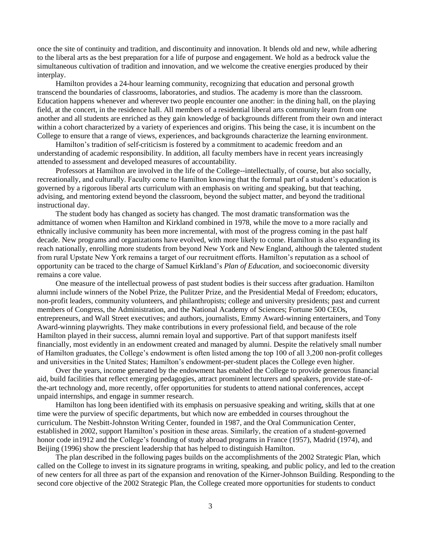once the site of continuity and tradition, and discontinuity and innovation. It blends old and new, while adhering to the liberal arts as the best preparation for a life of purpose and engagement. We hold as a bedrock value the simultaneous cultivation of tradition and innovation, and we welcome the creative energies produced by their interplay.

Hamilton provides a 24-hour learning community, recognizing that education and personal growth transcend the boundaries of classrooms, laboratories, and studios. The academy is more than the classroom. Education happens whenever and wherever two people encounter one another: in the dining hall, on the playing field, at the concert, in the residence hall. All members of a residential liberal arts community learn from one another and all students are enriched as they gain knowledge of backgrounds different from their own and interact within a cohort characterized by a variety of experiences and origins. This being the case, it is incumbent on the College to ensure that a range of views, experiences, and backgrounds characterize the learning environment.

Hamilton's tradition of self-criticism is fostered by a commitment to academic freedom and an understanding of academic responsibility. In addition, all faculty members have in recent years increasingly attended to assessment and developed measures of accountability.

Professors at Hamilton are involved in the life of the College--intellectually, of course, but also socially, recreationally, and culturally. Faculty come to Hamilton knowing that the formal part of a student's education is governed by a rigorous liberal arts curriculum with an emphasis on writing and speaking, but that teaching, advising, and mentoring extend beyond the classroom, beyond the subject matter, and beyond the traditional instructional day.

The student body has changed as society has changed. The most dramatic transformation was the admittance of women when Hamilton and Kirkland combined in 1978, while the move to a more racially and ethnically inclusive community has been more incremental, with most of the progress coming in the past half decade. New programs and organizations have evolved, with more likely to come. Hamilton is also expanding its reach nationally, enrolling more students from beyond New York and New England, although the talented student from rural Upstate New York remains a target of our recruitment efforts. Hamilton's reputation as a school of opportunity can be traced to the charge of Samuel Kirkland's *Plan of Education,* and socioeconomic diversity remains a core value.

One measure of the intellectual prowess of past student bodies is their success after graduation. Hamilton alumni include winners of the Nobel Prize, the Pulitzer Prize, and the Presidential Medal of Freedom; educators, non-profit leaders, community volunteers, and philanthropists; college and university presidents; past and current members of Congress, the Administration, and the National Academy of Sciences; Fortune 500 CEOs, entrepreneurs, and Wall Street executives; and authors, journalists, Emmy Award-winning entertainers, and Tony Award-winning playwrights. They make contributions in every professional field, and because of the role Hamilton played in their success, alumni remain loyal and supportive. Part of that support manifests itself financially, most evidently in an endowment created and managed by alumni. Despite the relatively small number of Hamilton graduates, the College's endowment is often listed among the top 100 of all 3,200 non-profit colleges and universities in the United States; Hamilton's endowment-per-student places the College even higher.

Over the years, income generated by the endowment has enabled the College to provide generous financial aid, build facilities that reflect emerging pedagogies, attract prominent lecturers and speakers, provide state-ofthe-art technology and, more recently, offer opportunities for students to attend national conferences, accept unpaid internships, and engage in summer research.

Hamilton has long been identified with its emphasis on persuasive speaking and writing, skills that at one time were the purview of specific departments, but which now are embedded in courses throughout the curriculum. The Nesbitt-Johnston Writing Center, founded in 1987, and the Oral Communication Center, established in 2002, support Hamilton's position in these areas. Similarly, the creation of a student-governed honor code in1912 and the College's founding of study abroad programs in France (1957), Madrid (1974), and Beijing (1996) show the prescient leadership that has helped to distinguish Hamilton.

The plan described in the following pages builds on the accomplishments of the 2002 Strategic Plan, which called on the College to invest in its signature programs in writing, speaking, and public policy, and led to the creation of new centers for all three as part of the expansion and renovation of the Kirner-Johnson Building. Responding to the second core objective of the 2002 Strategic Plan, the College created more opportunities for students to conduct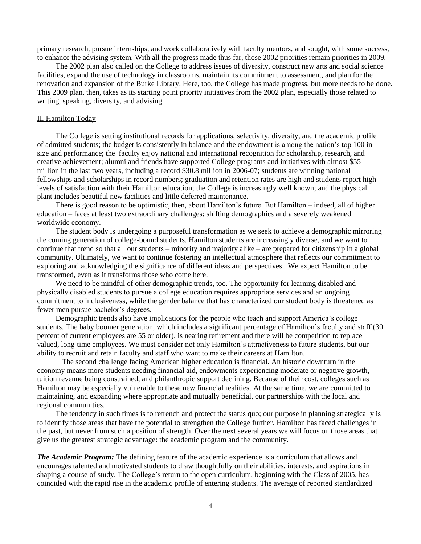primary research, pursue internships, and work collaboratively with faculty mentors, and sought, with some success, to enhance the advising system. With all the progress made thus far, those 2002 priorities remain priorities in 2009.

The 2002 plan also called on the College to address issues of diversity, construct new arts and social science facilities, expand the use of technology in classrooms, maintain its commitment to assessment, and plan for the renovation and expansion of the Burke Library. Here, too, the College has made progress, but more needs to be done. This 2009 plan, then, takes as its starting point priority initiatives from the 2002 plan, especially those related to writing, speaking, diversity, and advising.

#### II. Hamilton Today

The College is setting institutional records for applications, selectivity, diversity, and the academic profile of admitted students; the budget is consistently in balance and the endowment is among the nation's top 100 in size and performance; the faculty enjoy national and international recognition for scholarship, research, and creative achievement; alumni and friends have supported College programs and initiatives with almost \$55 million in the last two years, including a record \$30.8 million in 2006-07; students are winning national fellowships and scholarships in record numbers; graduation and retention rates are high and students report high levels of satisfaction with their Hamilton education; the College is increasingly well known; and the physical plant includes beautiful new facilities and little deferred maintenance.

There is good reason to be optimistic, then, about Hamilton's future. But Hamilton – indeed, all of higher education – faces at least two extraordinary challenges: shifting demographics and a severely weakened worldwide economy.

The student body is undergoing a purposeful transformation as we seek to achieve a demographic mirroring the coming generation of college-bound students. Hamilton students are increasingly diverse, and we want to continue that trend so that all our students – minority and majority alike – are prepared for citizenship in a global community. Ultimately, we want to continue fostering an intellectual atmosphere that reflects our commitment to exploring and acknowledging the significance of different ideas and perspectives. We expect Hamilton to be transformed, even as it transforms those who come here.

We need to be mindful of other demographic trends, too. The opportunity for learning disabled and physically disabled students to pursue a college education requires appropriate services and an ongoing commitment to inclusiveness, while the gender balance that has characterized our student body is threatened as fewer men pursue bachelor's degrees.

Demographic trends also have implications for the people who teach and support America's college students. The baby boomer generation, which includes a significant percentage of Hamilton's faculty and staff (30 percent of current employees are 55 or older), is nearing retirement and there will be competition to replace valued, long-time employees. We must consider not only Hamilton's attractiveness to future students, but our ability to recruit and retain faculty and staff who want to make their careers at Hamilton.

The second challenge facing American higher education is financial. An historic downturn in the economy means more students needing financial aid, endowments experiencing moderate or negative growth, tuition revenue being constrained, and philanthropic support declining. Because of their cost, colleges such as Hamilton may be especially vulnerable to these new financial realities. At the same time, we are committed to maintaining, and expanding where appropriate and mutually beneficial, our partnerships with the local and regional communities.

The tendency in such times is to retrench and protect the status quo; our purpose in planning strategically is to identify those areas that have the potential to strengthen the College further. Hamilton has faced challenges in the past, but never from such a position of strength. Over the next several years we will focus on those areas that give us the greatest strategic advantage: the academic program and the community.

*The Academic Program:* The defining feature of the academic experience is a curriculum that allows and encourages talented and motivated students to draw thoughtfully on their abilities, interests, and aspirations in shaping a course of study. The College's return to the open curriculum, beginning with the Class of 2005, has coincided with the rapid rise in the academic profile of entering students. The average of reported standardized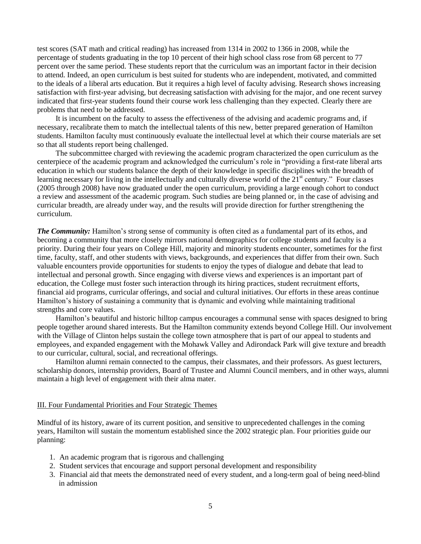test scores (SAT math and critical reading) has increased from 1314 in 2002 to 1366 in 2008, while the percentage of students graduating in the top 10 percent of their high school class rose from 68 percent to 77 percent over the same period. These students report that the curriculum was an important factor in their decision to attend. Indeed, an open curriculum is best suited for students who are independent, motivated, and committed to the ideals of a liberal arts education. But it requires a high level of faculty advising. Research shows increasing satisfaction with first-year advising, but decreasing satisfaction with advising for the major, and one recent survey indicated that first-year students found their course work less challenging than they expected. Clearly there are problems that need to be addressed.

It is incumbent on the faculty to assess the effectiveness of the advising and academic programs and, if necessary, recalibrate them to match the intellectual talents of this new, better prepared generation of Hamilton students. Hamilton faculty must continuously evaluate the intellectual level at which their course materials are set so that all students report being challenged.

The subcommittee charged with reviewing the academic program characterized the open curriculum as the centerpiece of the academic program and acknowledged the curriculum's role in "providing a first-rate liberal arts education in which our students balance the depth of their knowledge in specific disciplines with the breadth of learning necessary for living in the intellectually and culturally diverse world of the  $21<sup>st</sup>$  century." Four classes (2005 through 2008) have now graduated under the open curriculum, providing a large enough cohort to conduct a review and assessment of the academic program. Such studies are being planned or, in the case of advising and curricular breadth, are already under way, and the results will provide direction for further strengthening the curriculum.

*The Community:* Hamilton's strong sense of community is often cited as a fundamental part of its ethos, and becoming a community that more closely mirrors national demographics for college students and faculty is a priority. During their four years on College Hill, majority and minority students encounter, sometimes for the first time, faculty, staff, and other students with views, backgrounds, and experiences that differ from their own. Such valuable encounters provide opportunities for students to enjoy the types of dialogue and debate that lead to intellectual and personal growth. Since engaging with diverse views and experiences is an important part of education, the College must foster such interaction through its hiring practices, student recruitment efforts, financial aid programs, curricular offerings, and social and cultural initiatives. Our efforts in these areas continue Hamilton's history of sustaining a community that is dynamic and evolving while maintaining traditional strengths and core values.

Hamilton's beautiful and historic hilltop campus encourages a communal sense with spaces designed to bring people together around shared interests. But the Hamilton community extends beyond College Hill. Our involvement with the Village of Clinton helps sustain the college town atmosphere that is part of our appeal to students and employees, and expanded engagement with the Mohawk Valley and Adirondack Park will give texture and breadth to our curricular, cultural, social, and recreational offerings.

Hamilton alumni remain connected to the campus, their classmates, and their professors. As guest lecturers, scholarship donors, internship providers, Board of Trustee and Alumni Council members, and in other ways, alumni maintain a high level of engagement with their alma mater.

#### III. Four Fundamental Priorities and Four Strategic Themes

Mindful of its history, aware of its current position, and sensitive to unprecedented challenges in the coming years, Hamilton will sustain the momentum established since the 2002 strategic plan. Four priorities guide our planning:

- 1. An academic program that is rigorous and challenging
- 2. Student services that encourage and support personal development and responsibility
- 3. Financial aid that meets the demonstrated need of every student, and a long-term goal of being need-blind in admission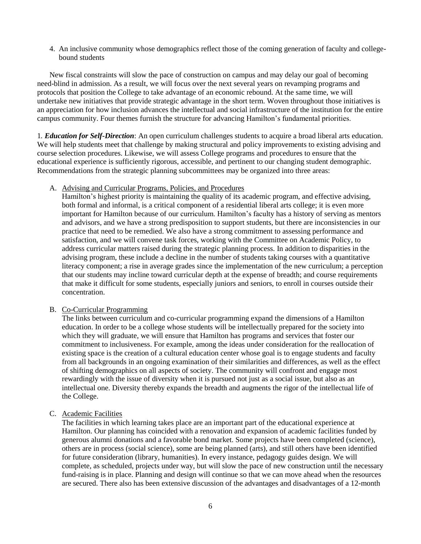4. An inclusive community whose demographics reflect those of the coming generation of faculty and collegebound students

New fiscal constraints will slow the pace of construction on campus and may delay our goal of becoming need-blind in admission. As a result, we will focus over the next several years on revamping programs and protocols that position the College to take advantage of an economic rebound. At the same time, we will undertake new initiatives that provide strategic advantage in the short term. Woven throughout those initiatives is an appreciation for how inclusion advances the intellectual and social infrastructure of the institution for the entire campus community. Four themes furnish the structure for advancing Hamilton's fundamental priorities.

1*. Education for Self-Direction*: An open curriculum challenges students to acquire a broad liberal arts education. We will help students meet that challenge by making structural and policy improvements to existing advising and course selection procedures. Likewise, we will assess College programs and procedures to ensure that the educational experience is sufficiently rigorous, accessible, and pertinent to our changing student demographic. Recommendations from the strategic planning subcommittees may be organized into three areas:

#### A. Advising and Curricular Programs, Policies, and Procedures

Hamilton's highest priority is maintaining the quality of its academic program, and effective advising, both formal and informal, is a critical component of a residential liberal arts college; it is even more important for Hamilton because of our curriculum. Hamilton's faculty has a history of serving as mentors and advisors, and we have a strong predisposition to support students, but there are inconsistencies in our practice that need to be remedied. We also have a strong commitment to assessing performance and satisfaction, and we will convene task forces, working with the Committee on Academic Policy, to address curricular matters raised during the strategic planning process. In addition to disparities in the advising program, these include a decline in the number of students taking courses with a quantitative literacy component; a rise in average grades since the implementation of the new curriculum; a perception that our students may incline toward curricular depth at the expense of breadth; and course requirements that make it difficult for some students, especially juniors and seniors, to enroll in courses outside their concentration.

#### B. Co-Curricular Programming

The links between curriculum and co-curricular programming expand the dimensions of a Hamilton education. In order to be a college whose students will be intellectually prepared for the society into which they will graduate, we will ensure that Hamilton has programs and services that foster our commitment to inclusiveness. For example, among the ideas under consideration for the reallocation of existing space is the creation of a cultural education center whose goal is to engage students and faculty from all backgrounds in an ongoing examination of their similarities and differences, as well as the effect of shifting demographics on all aspects of society. The community will confront and engage most rewardingly with the issue of diversity when it is pursued not just as a social issue, but also as an intellectual one. Diversity thereby expands the breadth and augments the rigor of the intellectual life of the College.

#### C. Academic Facilities

The facilities in which learning takes place are an important part of the educational experience at Hamilton. Our planning has coincided with a renovation and expansion of academic facilities funded by generous alumni donations and a favorable bond market. Some projects have been completed (science), others are in process (social science), some are being planned (arts), and still others have been identified for future consideration (library, humanities). In every instance, pedagogy guides design. We will complete, as scheduled, projects under way, but will slow the pace of new construction until the necessary fund-raising is in place. Planning and design will continue so that we can move ahead when the resources are secured. There also has been extensive discussion of the advantages and disadvantages of a 12-month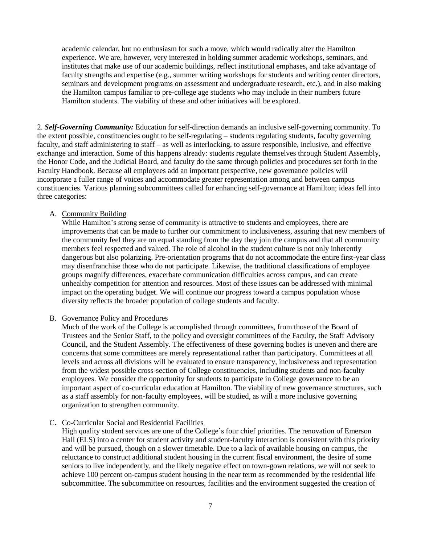academic calendar, but no enthusiasm for such a move, which would radically alter the Hamilton experience. We are, however, very interested in holding summer academic workshops, seminars, and institutes that make use of our academic buildings, reflect institutional emphases, and take advantage of faculty strengths and expertise (e.g., summer writing workshops for students and writing center directors, seminars and development programs on assessment and undergraduate research, etc.), and in also making the Hamilton campus familiar to pre-college age students who may include in their numbers future Hamilton students. The viability of these and other initiatives will be explored.

2. *Self-Governing Community:* Education for self-direction demands an inclusive self-governing community. To the extent possible, constituencies ought to be self-regulating – students regulating students, faculty governing faculty, and staff administering to staff – as well as interlocking, to assure responsible, inclusive, and effective exchange and interaction. Some of this happens already: students regulate themselves through Student Assembly, the Honor Code, and the Judicial Board, and faculty do the same through policies and procedures set forth in the Faculty Handbook. Because all employees add an important perspective, new governance policies will incorporate a fuller range of voices and accommodate greater representation among and between campus constituencies. Various planning subcommittees called for enhancing self-governance at Hamilton; ideas fell into three categories:

## A. Community Building

While Hamilton's strong sense of community is attractive to students and employees, there are improvements that can be made to further our commitment to inclusiveness, assuring that new members of the community feel they are on equal standing from the day they join the campus and that all community members feel respected and valued. The role of alcohol in the student culture is not only inherently dangerous but also polarizing. Pre-orientation programs that do not accommodate the entire first-year class may disenfranchise those who do not participate. Likewise, the traditional classifications of employee groups magnify differences, exacerbate communication difficulties across campus, and can create unhealthy competition for attention and resources. Most of these issues can be addressed with minimal impact on the operating budget. We will continue our progress toward a campus population whose diversity reflects the broader population of college students and faculty.

#### B. Governance Policy and Procedures

Much of the work of the College is accomplished through committees, from those of the Board of Trustees and the Senior Staff, to the policy and oversight committees of the Faculty, the Staff Advisory Council, and the Student Assembly. The effectiveness of these governing bodies is uneven and there are concerns that some committees are merely representational rather than participatory. Committees at all levels and across all divisions will be evaluated to ensure transparency, inclusiveness and representation from the widest possible cross-section of College constituencies, including students and non-faculty employees. We consider the opportunity for students to participate in College governance to be an important aspect of co-curricular education at Hamilton. The viability of new governance structures, such as a staff assembly for non-faculty employees, will be studied, as will a more inclusive governing organization to strengthen community.

#### C. Co-Curricular Social and Residential Facilities

High quality student services are one of the College's four chief priorities. The renovation of Emerson Hall (ELS) into a center for student activity and student-faculty interaction is consistent with this priority and will be pursued, though on a slower timetable. Due to a lack of available housing on campus, the reluctance to construct additional student housing in the current fiscal environment, the desire of some seniors to live independently, and the likely negative effect on town-gown relations, we will not seek to achieve 100 percent on-campus student housing in the near term as recommended by the residential life subcommittee. The subcommittee on resources, facilities and the environment suggested the creation of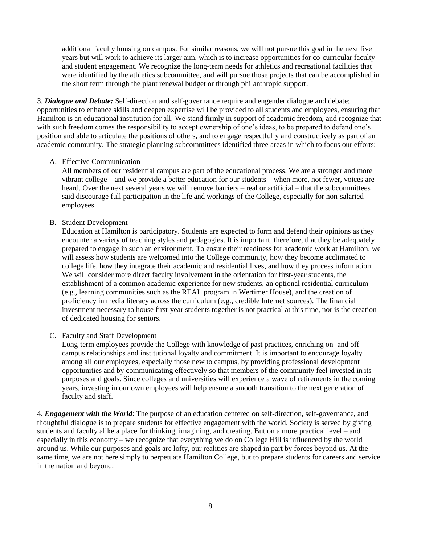additional faculty housing on campus. For similar reasons, we will not pursue this goal in the next five years but will work to achieve its larger aim, which is to increase opportunities for co-curricular faculty and student engagement. We recognize the long-term needs for athletics and recreational facilities that were identified by the athletics subcommittee, and will pursue those projects that can be accomplished in the short term through the plant renewal budget or through philanthropic support.

3. *Dialogue and Debate:* Self-direction and self-governance require and engender dialogue and debate; opportunities to enhance skills and deepen expertise will be provided to all students and employees, ensuring that Hamilton is an educational institution for all. We stand firmly in support of academic freedom, and recognize that with such freedom comes the responsibility to accept ownership of one's ideas, to be prepared to defend one's position and able to articulate the positions of others, and to engage respectfully and constructively as part of an academic community. The strategic planning subcommittees identified three areas in which to focus our efforts:

#### A. Effective Communication

All members of our residential campus are part of the educational process. We are a stronger and more vibrant college – and we provide a better education for our students – when more, not fewer, voices are heard. Over the next several years we will remove barriers – real or artificial – that the subcommittees said discourage full participation in the life and workings of the College, especially for non-salaried employees.

#### B. Student Development

Education at Hamilton is participatory. Students are expected to form and defend their opinions as they encounter a variety of teaching styles and pedagogies. It is important, therefore, that they be adequately prepared to engage in such an environment. To ensure their readiness for academic work at Hamilton, we will assess how students are welcomed into the College community, how they become acclimated to college life, how they integrate their academic and residential lives, and how they process information. We will consider more direct faculty involvement in the orientation for first-year students, the establishment of a common academic experience for new students, an optional residential curriculum (e.g., learning communities such as the REAL program in Wertimer House), and the creation of proficiency in media literacy across the curriculum (e.g., credible Internet sources). The financial investment necessary to house first-year students together is not practical at this time, nor is the creation of dedicated housing for seniors.

#### C. Faculty and Staff Development

Long-term employees provide the College with knowledge of past practices, enriching on- and offcampus relationships and institutional loyalty and commitment. It is important to encourage loyalty among all our employees, especially those new to campus, by providing professional development opportunities and by communicating effectively so that members of the community feel invested in its purposes and goals. Since colleges and universities will experience a wave of retirements in the coming years, investing in our own employees will help ensure a smooth transition to the next generation of faculty and staff.

4. *Engagement with the World*: The purpose of an education centered on self-direction, self-governance, and thoughtful dialogue is to prepare students for effective engagement with the world. Society is served by giving students and faculty alike a place for thinking, imagining, and creating. But on a more practical level – and especially in this economy – we recognize that everything we do on College Hill is influenced by the world around us. While our purposes and goals are lofty, our realities are shaped in part by forces beyond us. At the same time, we are not here simply to perpetuate Hamilton College, but to prepare students for careers and service in the nation and beyond.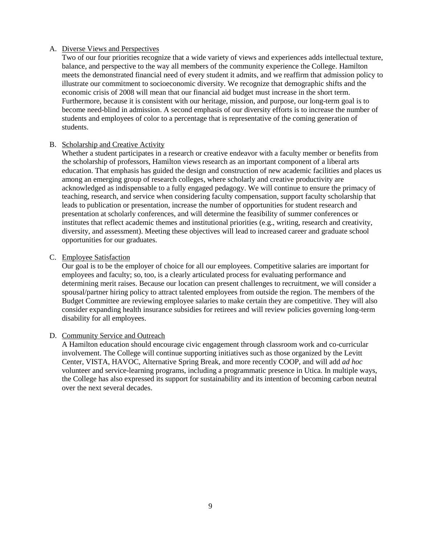#### A. Diverse Views and Perspectives

Two of our four priorities recognize that a wide variety of views and experiences adds intellectual texture, balance, and perspective to the way all members of the community experience the College. Hamilton meets the demonstrated financial need of every student it admits, and we reaffirm that admission policy to illustrate our commitment to socioeconomic diversity. We recognize that demographic shifts and the economic crisis of 2008 will mean that our financial aid budget must increase in the short term. Furthermore, because it is consistent with our heritage, mission, and purpose, our long-term goal is to become need-blind in admission. A second emphasis of our diversity efforts is to increase the number of students and employees of color to a percentage that is representative of the coming generation of students.

## B. Scholarship and Creative Activity

Whether a student participates in a research or creative endeavor with a faculty member or benefits from the scholarship of professors, Hamilton views research as an important component of a liberal arts education. That emphasis has guided the design and construction of new academic facilities and places us among an emerging group of research colleges, where scholarly and creative productivity are acknowledged as indispensable to a fully engaged pedagogy. We will continue to ensure the primacy of teaching, research, and service when considering faculty compensation, support faculty scholarship that leads to publication or presentation, increase the number of opportunities for student research and presentation at scholarly conferences, and will determine the feasibility of summer conferences or institutes that reflect academic themes and institutional priorities (e.g., writing, research and creativity, diversity, and assessment). Meeting these objectives will lead to increased career and graduate school opportunities for our graduates.

#### C. Employee Satisfaction

Our goal is to be the employer of choice for all our employees. Competitive salaries are important for employees and faculty; so, too, is a clearly articulated process for evaluating performance and determining merit raises. Because our location can present challenges to recruitment, we will consider a spousal/partner hiring policy to attract talented employees from outside the region. The members of the Budget Committee are reviewing employee salaries to make certain they are competitive. They will also consider expanding health insurance subsidies for retirees and will review policies governing long-term disability for all employees.

#### D. Community Service and Outreach

A Hamilton education should encourage civic engagement through classroom work and co-curricular involvement. The College will continue supporting initiatives such as those organized by the Levitt Center, VISTA, HAVOC, Alternative Spring Break, and more recently COOP, and will add *ad hoc* volunteer and service-learning programs, including a programmatic presence in Utica. In multiple ways, the College has also expressed its support for sustainability and its intention of becoming carbon neutral over the next several decades.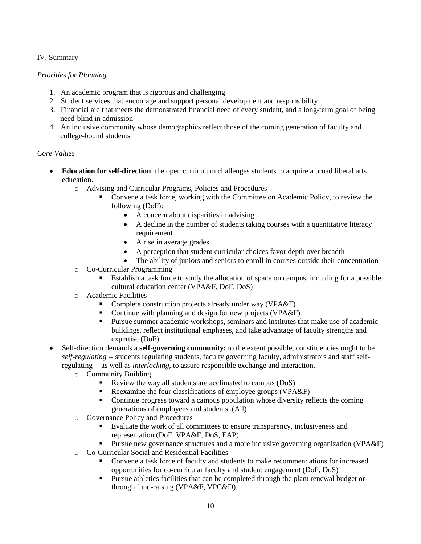## IV. Summary

## *Priorities for Planning*

- 1. An academic program that is rigorous and challenging
- 2. Student services that encourage and support personal development and responsibility
- 3. Financial aid that meets the demonstrated financial need of every student, and a long-term goal of being need-blind in admission
- 4. An inclusive community whose demographics reflect those of the coming generation of faculty and college-bound students

### *Core Values*

- **Education for self-direction**: the open curriculum challenges students to acquire a broad liberal arts education.
	- o Advising and Curricular Programs, Policies and Procedures
		- Convene a task force, working with the Committee on Academic Policy, to review the following (DoF):
			- A concern about disparities in advising
			- A decline in the number of students taking courses with a quantitative literacy requirement
			- A rise in average grades
			- A perception that student curricular choices favor depth over breadth
			- The ability of juniors and seniors to enroll in courses outside their concentration
	- o Co-Curricular Programming
		- Establish a task force to study the allocation of space on campus, including for a possible cultural education center (VPA&F, DoF, DoS)
	- o Academic Facilities
		- Complete construction projects already under way (VPA&F)
		- Continue with planning and design for new projects (VPA&F)
		- Pursue summer academic workshops, seminars and institutes that make use of academic buildings, reflect institutional emphases, and take advantage of faculty strengths and expertise (DoF)
- Self-direction demands a **self-governing community:** to the extent possible, constituencies ought to be *self-regulating* -- students regulating students, faculty governing faculty, administrators and staff selfregulating -- as well as *interlocking*, to assure responsible exchange and interaction.
	- o Community Building
		- Review the way all students are acclimated to campus (DoS)
		- Reexamine the four classifications of employee groups (VPA&F)
		- Continue progress toward a campus population whose diversity reflects the coming generations of employees and students (All)
	- o Governance Policy and Procedures
		- Evaluate the work of all committees to ensure transparency, inclusiveness and representation (DoF, VPA&F, DoS, EAP)
		- Pursue new governance structures and a more inclusive governing organization (VPA&F)
	- o Co-Curricular Social and Residential Facilities
		- Convene a task force of faculty and students to make recommendations for increased opportunities for co-curricular faculty and student engagement (DoF, DoS)
		- Pursue athletics facilities that can be completed through the plant renewal budget or through fund-raising (VPA&F, VPC&D).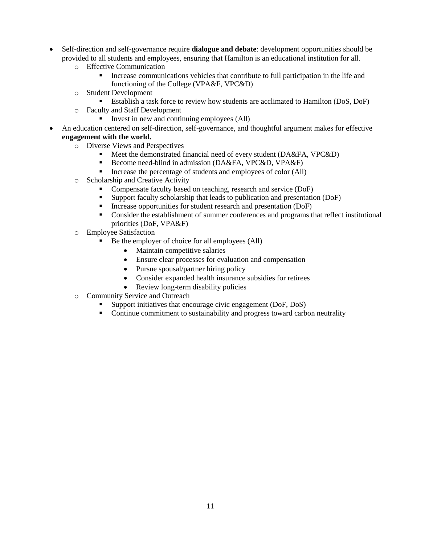- Self-direction and self-governance require **dialogue and debate**: development opportunities should be provided to all students and employees, ensuring that Hamilton is an educational institution for all.
	- o Effective Communication
		- Increase communications vehicles that contribute to full participation in the life and functioning of the College (VPA&F, VPC&D)
	- o Student Development
		- Establish a task force to review how students are acclimated to Hamilton (DoS, DoF)
	- o Faculty and Staff Development
		- Invest in new and continuing employees (All)
- An education centered on self-direction, self-governance, and thoughtful argument makes for effective **engagement with the world.**
	- o Diverse Views and Perspectives
		- Meet the demonstrated financial need of every student (DA&FA, VPC&D)
		- Become need-blind in admission (DA&FA, VPC&D, VPA&F)
		- Increase the percentage of students and employees of color (All)
	- o Scholarship and Creative Activity
		- **Compensate faculty based on teaching, research and service (DoF)**
		- Support faculty scholarship that leads to publication and presentation (DoF)
		- Increase opportunities for student research and presentation (DoF)
		- Consider the establishment of summer conferences and programs that reflect institutional priorities (DoF, VPA&F)
	- o Employee Satisfaction
		- Be the employer of choice for all employees (All)
			- Maintain competitive salaries
			- Ensure clear processes for evaluation and compensation
			- Pursue spousal/partner hiring policy
			- Consider expanded health insurance subsidies for retirees
			- Review long-term disability policies
	- o Community Service and Outreach
		- Support initiatives that encourage civic engagement (DoF, DoS)
		- Continue commitment to sustainability and progress toward carbon neutrality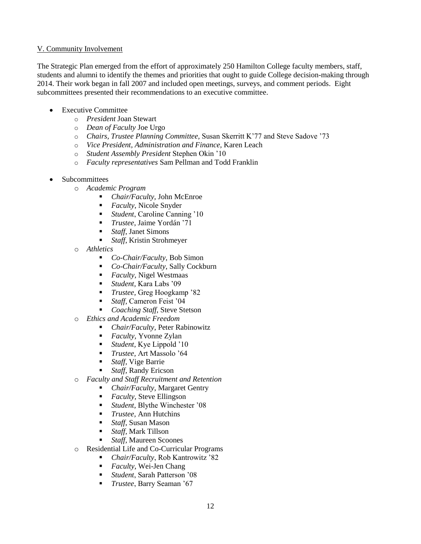## V. Community Involvement

The Strategic Plan emerged from the effort of approximately 250 Hamilton College faculty members, staff, students and alumni to identify the themes and priorities that ought to guide College decision-making through 2014. Their work began in fall 2007 and included open meetings, surveys, and comment periods. Eight subcommittees presented their recommendations to an executive committee.

- Executive Committee
	- o *President* Joan Stewart
	- o *Dean of Faculty* Joe Urgo
	- o *Chairs, Trustee Planning Committee,* Susan Skerritt K'77 and Steve Sadove '73
	- o *Vice President, Administration and Finance,* Karen Leach
	- o *Student Assembly President* Stephen Okin '10
	- o *Faculty representatives* Sam Pellman and Todd Franklin
- Subcommittees
	- o *Academic Program*
		- *Chair/Faculty,* John McEnroe
		- *Faculty*, Nicole Snyder
		- *Student*, Caroline Canning '10
		- *Trustee*, Jaime Yordán '71
		- *Staff*, Janet Simons
		- *Staff*, Kristin Strohmeyer
	- o *Athletics*
		- *Co-Chair/Faculty,* Bob Simon
		- *Co*-*Chair/Faculty*, Sally Cockburn
		- **Faculty, Nigel Westmaas**<br>**Faculty, Nigel Westmaas**
		- *Student,* Kara Labs '09
		- *Trustee,* Greg Hoogkamp '82
		- *Staff,* Cameron Feist '04
		- *Coaching Staff,* Steve Stetson
	- o *Ethics and Academic Freedom*
		- *Chair/Faculty*, Peter Rabinowitz
		- **Faculty, Yvonne Zylan**
		- *Student,* Kye Lippold '10
		- *Trustee,* Art Massolo '64
		- *Staff,* Vige Barrie
		- *Staff,* Randy Ericson
	- o *Faculty and Staff Recruitment and Retention*
		- *Chair/Faculty*, Margaret Gentry
		- *Faculty*, Steve Ellingson
		- *Student,* Blythe Winchester '08
		- *Trustee,* Ann Hutchins
		- *Staff*, Susan Mason
		- *Staff,* Mark Tillson
		- *Staff,* Maureen Scoones
	- o Residential Life and Co-Curricular Programs
		- *Chair/Faculty*, Rob Kantrowitz '82
		- *Faculty*, Wei-Jen Chang
		- *Student*, Sarah Patterson '08
		- *Trustee*, Barry Seaman '67